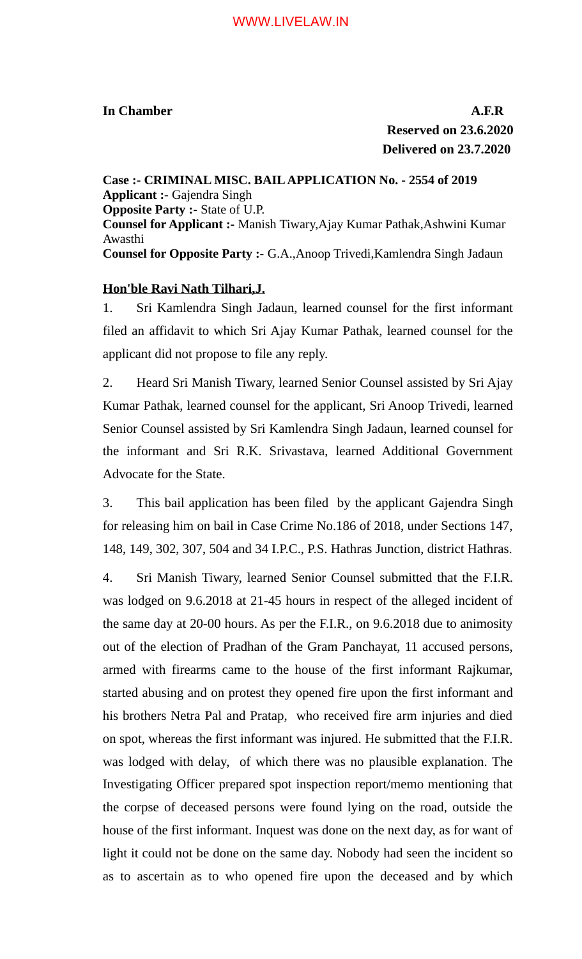**In Chamber A.F.R Reserved on 23.6.2020 Delivered on 23.7.2020**

**Case :- CRIMINAL MISC. BAIL APPLICATION No. - 2554 of 2019 Applicant :-** Gajendra Singh **Opposite Party :-** State of U.P. **Counsel for Applicant :-** Manish Tiwary,Ajay Kumar Pathak,Ashwini Kumar Awasthi **Counsel for Opposite Party :-** G.A.,Anoop Trivedi,Kamlendra Singh Jadaun

## **Hon'ble Ravi Nath Tilhari,J.**

1. Sri Kamlendra Singh Jadaun, learned counsel for the first informant filed an affidavit to which Sri Ajay Kumar Pathak, learned counsel for the applicant did not propose to file any reply.

2. Heard Sri Manish Tiwary, learned Senior Counsel assisted by Sri Ajay Kumar Pathak, learned counsel for the applicant, Sri Anoop Trivedi, learned Senior Counsel assisted by Sri Kamlendra Singh Jadaun, learned counsel for the informant and Sri R.K. Srivastava, learned Additional Government Advocate for the State.

3. This bail application has been filed by the applicant Gajendra Singh for releasing him on bail in Case Crime No.186 of 2018, under Sections 147, 148, 149, 302, 307, 504 and 34 I.P.C., P.S. Hathras Junction, district Hathras.

4. Sri Manish Tiwary, learned Senior Counsel submitted that the F.I.R. was lodged on 9.6.2018 at 21-45 hours in respect of the alleged incident of the same day at 20-00 hours. As per the F.I.R., on 9.6.2018 due to animosity out of the election of Pradhan of the Gram Panchayat, 11 accused persons, armed with firearms came to the house of the first informant Rajkumar, started abusing and on protest they opened fire upon the first informant and his brothers Netra Pal and Pratap, who received fire arm injuries and died on spot, whereas the first informant was injured. He submitted that the F.I.R. was lodged with delay, of which there was no plausible explanation. The Investigating Officer prepared spot inspection report/memo mentioning that the corpse of deceased persons were found lying on the road, outside the house of the first informant. Inquest was done on the next day, as for want of light it could not be done on the same day. Nobody had seen the incident so as to ascertain as to who opened fire upon the deceased and by which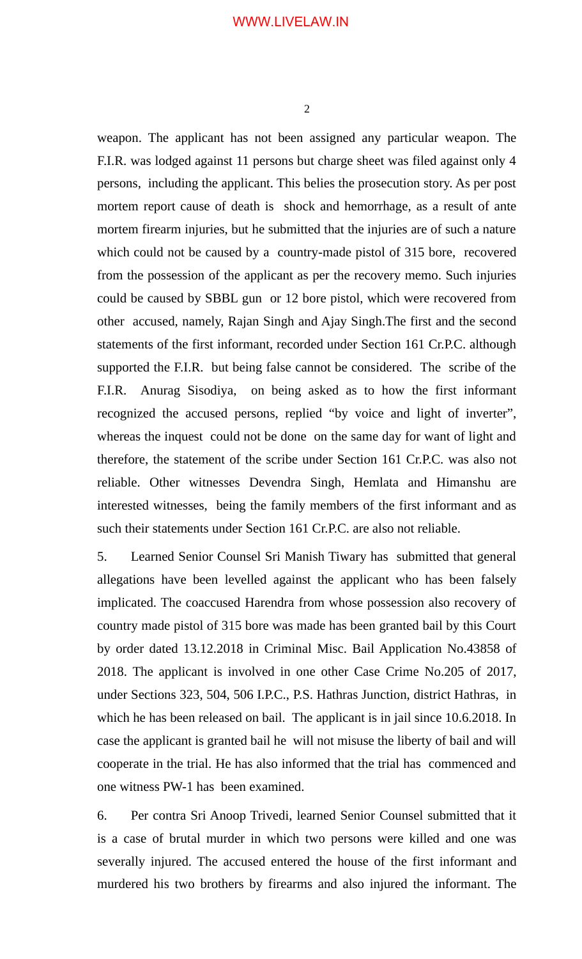weapon. The applicant has not been assigned any particular weapon. The F.I.R. was lodged against 11 persons but charge sheet was filed against only 4 persons, including the applicant. This belies the prosecution story. As per post mortem report cause of death is shock and hemorrhage, as a result of ante mortem firearm injuries, but he submitted that the injuries are of such a nature which could not be caused by a country-made pistol of 315 bore, recovered from the possession of the applicant as per the recovery memo. Such injuries could be caused by SBBL gun or 12 bore pistol, which were recovered from other accused, namely, Rajan Singh and Ajay Singh.The first and the second statements of the first informant, recorded under Section 161 Cr.P.C. although supported the F.I.R. but being false cannot be considered. The scribe of the F.I.R. Anurag Sisodiya, on being asked as to how the first informant recognized the accused persons, replied "by voice and light of inverter", whereas the inquest could not be done on the same day for want of light and therefore, the statement of the scribe under Section 161 Cr.P.C. was also not reliable. Other witnesses Devendra Singh, Hemlata and Himanshu are interested witnesses, being the family members of the first informant and as such their statements under Section 161 Cr.P.C. are also not reliable.

5. Learned Senior Counsel Sri Manish Tiwary has submitted that general allegations have been levelled against the applicant who has been falsely implicated. The coaccused Harendra from whose possession also recovery of country made pistol of 315 bore was made has been granted bail by this Court by order dated 13.12.2018 in Criminal Misc. Bail Application No.43858 of 2018. The applicant is involved in one other Case Crime No.205 of 2017, under Sections 323, 504, 506 I.P.C., P.S. Hathras Junction, district Hathras, in which he has been released on bail. The applicant is in jail since 10.6.2018. In case the applicant is granted bail he will not misuse the liberty of bail and will cooperate in the trial. He has also informed that the trial has commenced and one witness PW-1 has been examined.

6. Per contra Sri Anoop Trivedi, learned Senior Counsel submitted that it is a case of brutal murder in which two persons were killed and one was severally injured. The accused entered the house of the first informant and murdered his two brothers by firearms and also injured the informant. The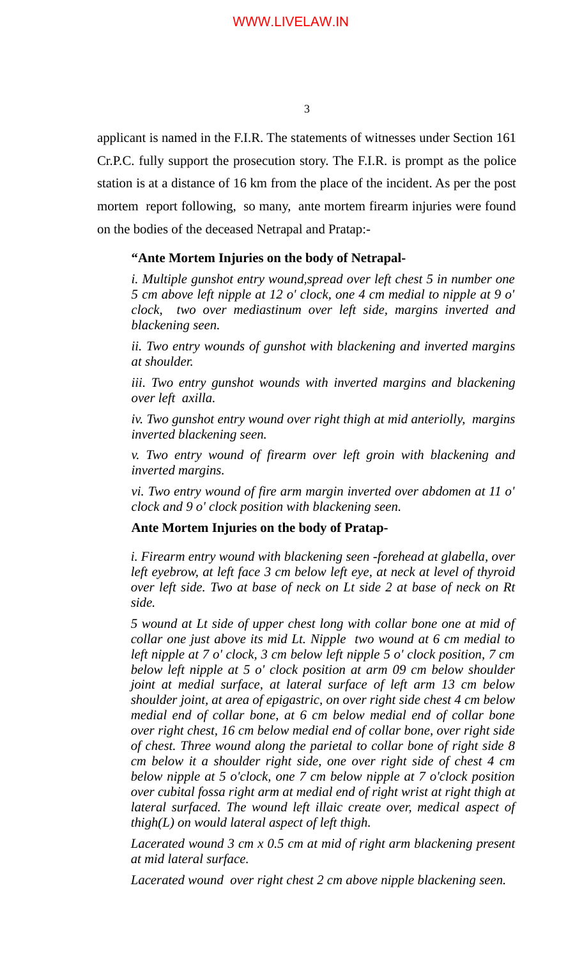applicant is named in the F.I.R. The statements of witnesses under Section 161 Cr.P.C. fully support the prosecution story. The F.I.R. is prompt as the police station is at a distance of 16 km from the place of the incident. As per the post mortem report following, so many, ante mortem firearm injuries were found on the bodies of the deceased Netrapal and Pratap:-

## **"Ante Mortem Injuries on the body of Netrapal-**

*i. Multiple gunshot entry wound,spread over left chest 5 in number one 5 cm above left nipple at 12 o' clock, one 4 cm medial to nipple at 9 o' clock, two over mediastinum over left side, margins inverted and blackening seen.*

*ii. Two entry wounds of gunshot with blackening and inverted margins at shoulder.* 

*iii. Two entry gunshot wounds with inverted margins and blackening over left axilla.* 

*iv. Two gunshot entry wound over right thigh at mid anteriolly, margins inverted blackening seen.* 

*v. Two entry wound of firearm over left groin with blackening and inverted margins.*

*vi. Two entry wound of fire arm margin inverted over abdomen at 11 o' clock and 9 o' clock position with blackening seen.*

## **Ante Mortem Injuries on the body of Pratap-**

*i. Firearm entry wound with blackening seen -forehead at glabella, over left eyebrow, at left face 3 cm below left eye, at neck at level of thyroid over left side. Two at base of neck on Lt side 2 at base of neck on Rt side.* 

*5 wound at Lt side of upper chest long with collar bone one at mid of collar one just above its mid Lt. Nipple two wound at 6 cm medial to left nipple at 7 o' clock, 3 cm below left nipple 5 o' clock position, 7 cm below left nipple at 5 o' clock position at arm 09 cm below shoulder joint at medial surface, at lateral surface of left arm 13 cm below shoulder joint, at area of epigastric, on over right side chest 4 cm below medial end of collar bone, at 6 cm below medial end of collar bone over right chest, 16 cm below medial end of collar bone, over right side of chest. Three wound along the parietal to collar bone of right side 8 cm below it a shoulder right side, one over right side of chest 4 cm below nipple at 5 o'clock, one 7 cm below nipple at 7 o'clock position over cubital fossa right arm at medial end of right wrist at right thigh at lateral surfaced. The wound left illaic create over, medical aspect of thigh(L) on would lateral aspect of left thigh.*

*Lacerated wound 3 cm x 0.5 cm at mid of right arm blackening present at mid lateral surface.* 

*Lacerated wound over right chest 2 cm above nipple blackening seen.*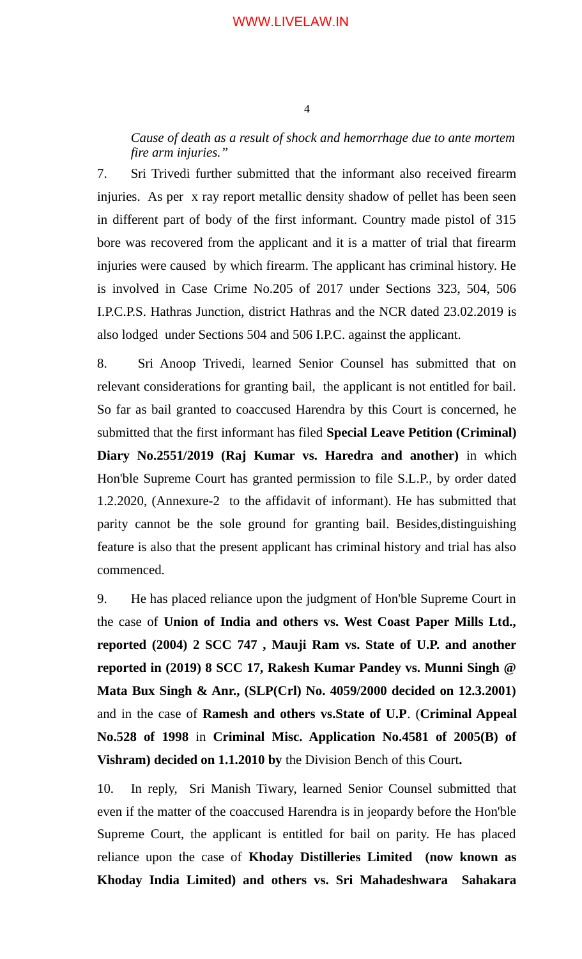*Cause of death as a result of shock and hemorrhage due to ante mortem fire arm injuries."*

7. Sri Trivedi further submitted that the informant also received firearm injuries. As per x ray report metallic density shadow of pellet has been seen in different part of body of the first informant. Country made pistol of 315 bore was recovered from the applicant and it is a matter of trial that firearm injuries were caused by which firearm. The applicant has criminal history. He is involved in Case Crime No.205 of 2017 under Sections 323, 504, 506 I.P.C.P.S. Hathras Junction, district Hathras and the NCR dated 23.02.2019 is also lodged under Sections 504 and 506 I.P.C. against the applicant.

8. Sri Anoop Trivedi, learned Senior Counsel has submitted that on relevant considerations for granting bail, the applicant is not entitled for bail. So far as bail granted to coaccused Harendra by this Court is concerned, he submitted that the first informant has filed **Special Leave Petition (Criminal) Diary No.2551/2019 (Raj Kumar vs. Haredra and another)** in which Hon'ble Supreme Court has granted permission to file S.L.P., by order dated 1.2.2020, (Annexure-2 to the affidavit of informant). He has submitted that parity cannot be the sole ground for granting bail. Besides,distinguishing feature is also that the present applicant has criminal history and trial has also commenced.

9. He has placed reliance upon the judgment of Hon'ble Supreme Court in the case of **Union of India and others vs. West Coast Paper Mills Ltd., reported (2004) 2 SCC 747 , Mauji Ram vs. State of U.P. and another reported in (2019) 8 SCC 17, Rakesh Kumar Pandey vs. Munni Singh @ Mata Bux Singh & Anr., (SLP(Crl) No. 4059/2000 decided on 12.3.2001)** and in the case of **Ramesh and others vs.State of U.P**. (**Criminal Appeal No.528 of 1998** in **Criminal Misc. Application No.4581 of 2005(B) of Vishram) decided on 1.1.2010 by** the Division Bench of this Court**.**

10. In reply, Sri Manish Tiwary, learned Senior Counsel submitted that even if the matter of the coaccused Harendra is in jeopardy before the Hon'ble Supreme Court, the applicant is entitled for bail on parity. He has placed reliance upon the case of **Khoday Distilleries Limited (now known as Khoday India Limited) and others vs. Sri Mahadeshwara Sahakara**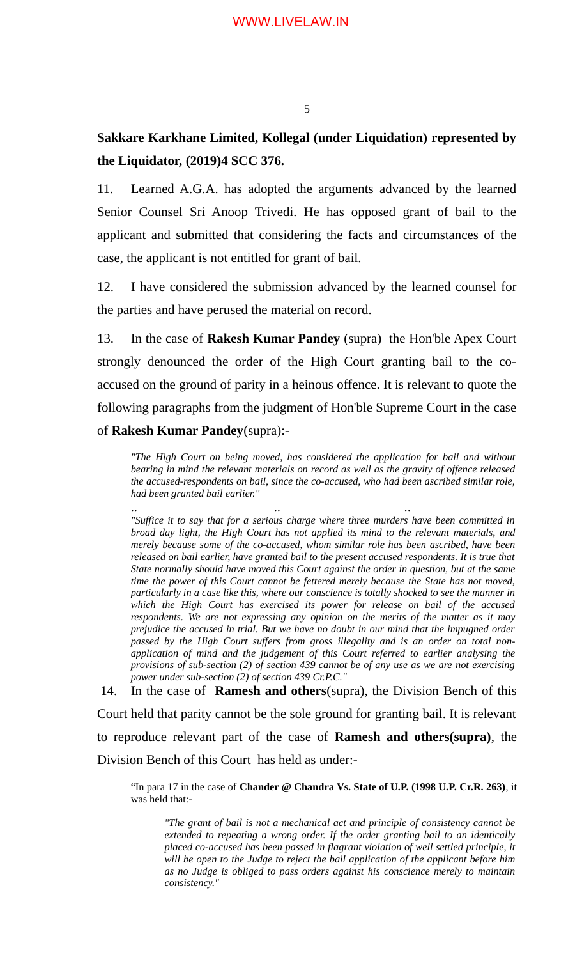## **Sakkare Karkhane Limited, Kollegal (under Liquidation) represented by the Liquidator, (2019)4 SCC 376.**

11. Learned A.G.A. has adopted the arguments advanced by the learned Senior Counsel Sri Anoop Trivedi. He has opposed grant of bail to the applicant and submitted that considering the facts and circumstances of the case, the applicant is not entitled for grant of bail.

12. I have considered the submission advanced by the learned counsel for the parties and have perused the material on record.

13. In the case of **Rakesh Kumar Pandey** (supra) the Hon'ble Apex Court strongly denounced the order of the High Court granting bail to the coaccused on the ground of parity in a heinous offence. It is relevant to quote the following paragraphs from the judgment of Hon'ble Supreme Court in the case of **Rakesh Kumar Pandey**(supra):-

*"The High Court on being moved, has considered the application for bail and without bearing in mind the relevant materials on record as well as the gravity of offence released the accused-respondents on bail, since the co-accused, who had been ascribed similar role, had been granted bail earlier."*

.. .. .. *"Suffice it to say that for a serious charge where three murders have been committed in broad day light, the High Court has not applied its mind to the relevant materials, and merely because some of the co-accused, whom similar role has been ascribed, have been released on bail earlier, have granted bail to the present accused respondents. It is true that State normally should have moved this Court against the order in question, but at the same time the power of this Court cannot be fettered merely because the State has not moved, particularly in a case like this, where our conscience is totally shocked to see the manner in which the High Court has exercised its power for release on bail of the accused respondents. We are not expressing any opinion on the merits of the matter as it may prejudice the accused in trial. But we have no doubt in our mind that the impugned order passed by the High Court suffers from gross illegality and is an order on total nonapplication of mind and the judgement of this Court referred to earlier analysing the provisions of sub-section (2) of section 439 cannot be of any use as we are not exercising power under sub-section (2) of section 439 Cr.P.C."*

 14. In the case of **Ramesh and others**(supra), the Division Bench of this Court held that parity cannot be the sole ground for granting bail. It is relevant to reproduce relevant part of the case of **Ramesh and others(supra)**, the Division Bench of this Court has held as under:-

"In para 17 in the case of **Chander @ Chandra Vs. State of U.P. (1998 U.P. Cr.R. 263)**, it was held that:-

*"The grant of bail is not a mechanical act and principle of consistency cannot be extended to repeating a wrong order. If the order granting bail to an identically placed co-accused has been passed in flagrant violation of well settled principle, it will be open to the Judge to reject the bail application of the applicant before him as no Judge is obliged to pass orders against his conscience merely to maintain consistency."*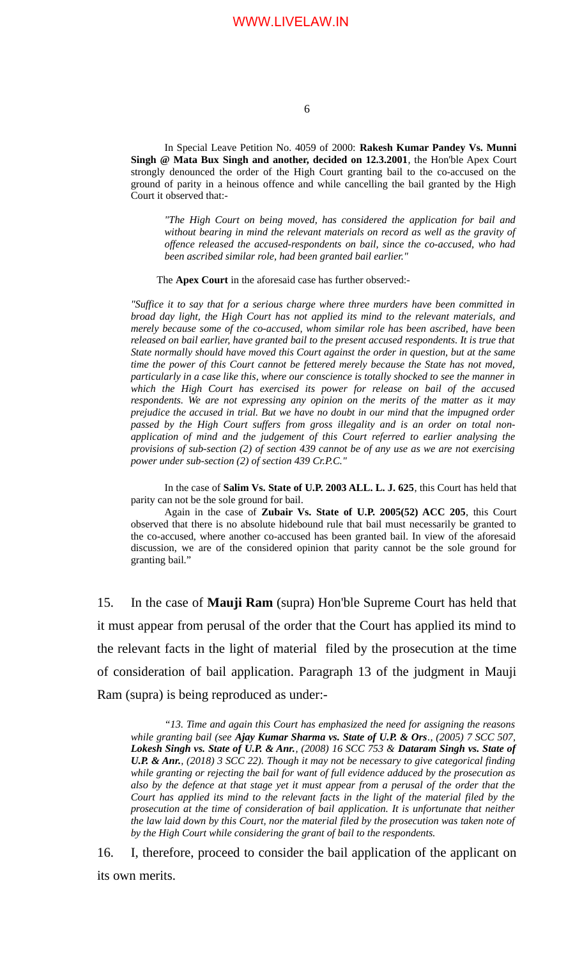In Special Leave Petition No. 4059 of 2000: **Rakesh Kumar Pandey Vs. Munni Singh @ Mata Bux Singh and another, decided on 12.3.2001**, the Hon'ble Apex Court strongly denounced the order of the High Court granting bail to the co-accused on the ground of parity in a heinous offence and while cancelling the bail granted by the High Court it observed that:-

*"The High Court on being moved, has considered the application for bail and without bearing in mind the relevant materials on record as well as the gravity of offence released the accused-respondents on bail, since the co-accused, who had been ascribed similar role, had been granted bail earlier."*

The **Apex Court** in the aforesaid case has further observed:-

*"Suffice it to say that for a serious charge where three murders have been committed in broad day light, the High Court has not applied its mind to the relevant materials, and merely because some of the co-accused, whom similar role has been ascribed, have been released on bail earlier, have granted bail to the present accused respondents. It is true that State normally should have moved this Court against the order in question, but at the same time the power of this Court cannot be fettered merely because the State has not moved, particularly in a case like this, where our conscience is totally shocked to see the manner in which the High Court has exercised its power for release on bail of the accused respondents. We are not expressing any opinion on the merits of the matter as it may prejudice the accused in trial. But we have no doubt in our mind that the impugned order passed by the High Court suffers from gross illegality and is an order on total nonapplication of mind and the judgement of this Court referred to earlier analysing the provisions of sub-section (2) of section 439 cannot be of any use as we are not exercising power under sub-section (2) of section 439 Cr.P.C."*

In the case of **Salim Vs. State of U.P. 2003 ALL. L. J. 625**, this Court has held that parity can not be the sole ground for bail.

Again in the case of **Zubair Vs. State of U.P. 2005(52) ACC 205**, this Court observed that there is no absolute hidebound rule that bail must necessarily be granted to the co-accused, where another co-accused has been granted bail. In view of the aforesaid discussion, we are of the considered opinion that parity cannot be the sole ground for granting bail."

15. In the case of **Mauji Ram** (supra) Hon'ble Supreme Court has held that it must appear from perusal of the order that the Court has applied its mind to the relevant facts in the light of material filed by the prosecution at the time of consideration of bail application. Paragraph 13 of the judgment in Mauji Ram (supra) is being reproduced as under:-

*"13. Time and again this Court has emphasized the need for assigning the reasons while granting bail (see Ajay Kumar Sharma vs. State of U.P. & Ors., (2005) 7 SCC 507, Lokesh Singh vs. State of U.P. & Anr., (2008) 16 SCC 753 & Dataram Singh vs. State of U.P. & Anr., (2018) 3 SCC 22). Though it may not be necessary to give categorical finding while granting or rejecting the bail for want of full evidence adduced by the prosecution as also by the defence at that stage yet it must appear from a perusal of the order that the Court has applied its mind to the relevant facts in the light of the material filed by the prosecution at the time of consideration of bail application. It is unfortunate that neither the law laid down by this Court, nor the material filed by the prosecution was taken note of by the High Court while considering the grant of bail to the respondents.* 

16. I, therefore, proceed to consider the bail application of the applicant on its own merits.

6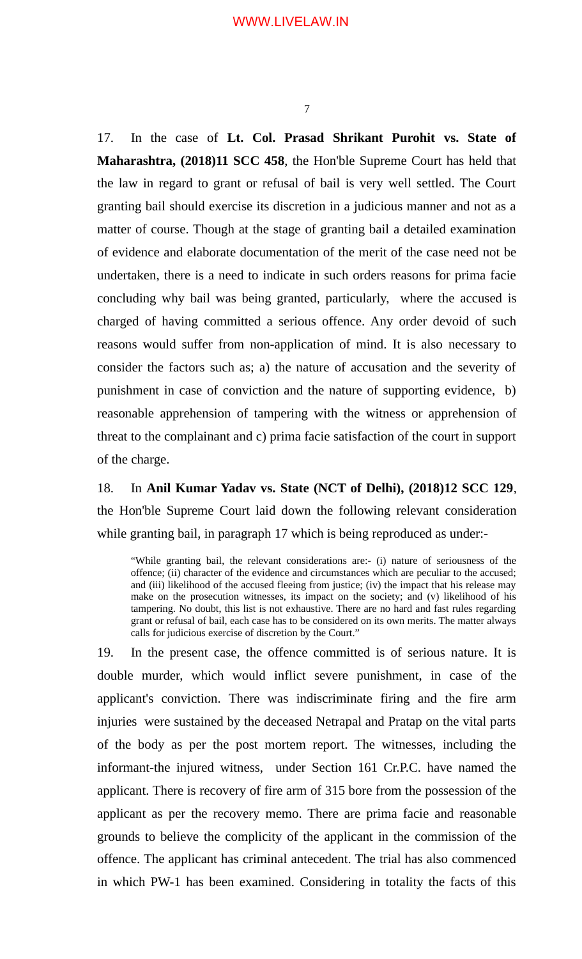17. In the case of **Lt. Col. Prasad Shrikant Purohit vs. State of Maharashtra, (2018)11 SCC 458**, the Hon'ble Supreme Court has held that the law in regard to grant or refusal of bail is very well settled. The Court granting bail should exercise its discretion in a judicious manner and not as a matter of course. Though at the stage of granting bail a detailed examination of evidence and elaborate documentation of the merit of the case need not be undertaken, there is a need to indicate in such orders reasons for prima facie concluding why bail was being granted, particularly, where the accused is charged of having committed a serious offence. Any order devoid of such reasons would suffer from non-application of mind. It is also necessary to consider the factors such as; a) the nature of accusation and the severity of punishment in case of conviction and the nature of supporting evidence, b) reasonable apprehension of tampering with the witness or apprehension of threat to the complainant and c) prima facie satisfaction of the court in support of the charge.

18. In **Anil Kumar Yadav vs. State (NCT of Delhi), (2018)12 SCC 129**, the Hon'ble Supreme Court laid down the following relevant consideration while granting bail, in paragraph 17 which is being reproduced as under:-

"While granting bail, the relevant considerations are:- (i) nature of seriousness of the offence; (ii) character of the evidence and circumstances which are peculiar to the accused; and (iii) likelihood of the accused fleeing from justice; (iv) the impact that his release may make on the prosecution witnesses, its impact on the society; and (v) likelihood of his tampering. No doubt, this list is not exhaustive. There are no hard and fast rules regarding grant or refusal of bail, each case has to be considered on its own merits. The matter always calls for judicious exercise of discretion by the Court."

19. In the present case, the offence committed is of serious nature. It is double murder, which would inflict severe punishment, in case of the applicant's conviction. There was indiscriminate firing and the fire arm injuries were sustained by the deceased Netrapal and Pratap on the vital parts of the body as per the post mortem report. The witnesses, including the informant-the injured witness, under Section 161 Cr.P.C. have named the applicant. There is recovery of fire arm of 315 bore from the possession of the applicant as per the recovery memo. There are prima facie and reasonable grounds to believe the complicity of the applicant in the commission of the offence. The applicant has criminal antecedent. The trial has also commenced in which PW-1 has been examined. Considering in totality the facts of this